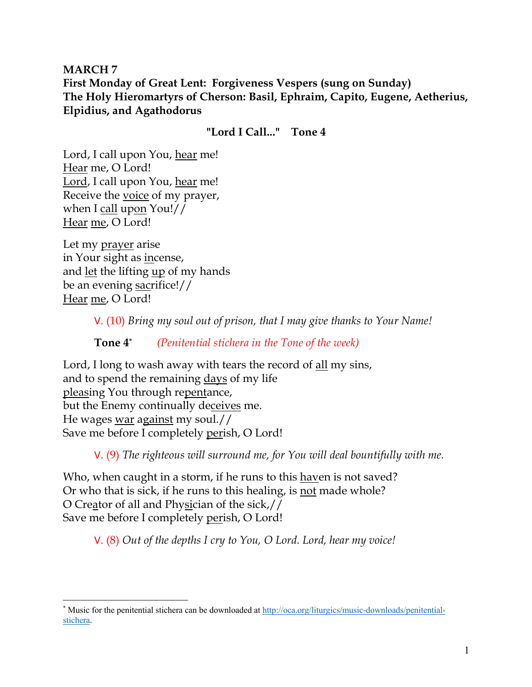**MARCH 7 First Monday of Great Lent: Forgiveness Vespers (sung on Sunday) The Holy Hieromartyrs of Cherson: Basil, Ephraim, Capito, Eugene, Aetherius, Elpidius, and Agathodorus**

#### **"Lord I Call..." Tone 4**

Lord, I call upon You, hear me! Hear me, O Lord! Lord, I call upon You, hear me! Receive the voice of my prayer, when I call upon You!// Hear me, O Lord!

Let my prayer arise in Your sight as incense, and let the lifting up of my hands be an evening sacrifice!// Hear me, O Lord!

V. (10) *Bring my soul out of prison, that I may give thanks to Your Name!* 

**Tone 4\*** *(Penitential stichera in the Tone of the week)* 

Lord, I long to wash away with tears the record of all my sins, and to spend the remaining days of my life pleasing You through repentance, but the Enemy continually deceives me. He wages war against my soul.// Save me before I completely perish, O Lord!

V. (9) *The righteous will surround me, for You will deal bountifully with me.* 

Who, when caught in a storm, if he runs to this haven is not saved? Or who that is sick, if he runs to this healing, is not made whole? O Creator of all and Physician of the sick,// Save me before I completely perish, O Lord!

V. (8) *Out of the depths I cry to You, O Lord. Lord, hear my voice!* 

<sup>\*</sup> Music for the penitential stichera can be downloaded at http://oca.org/liturgics/music-downloads/penitentialstichera.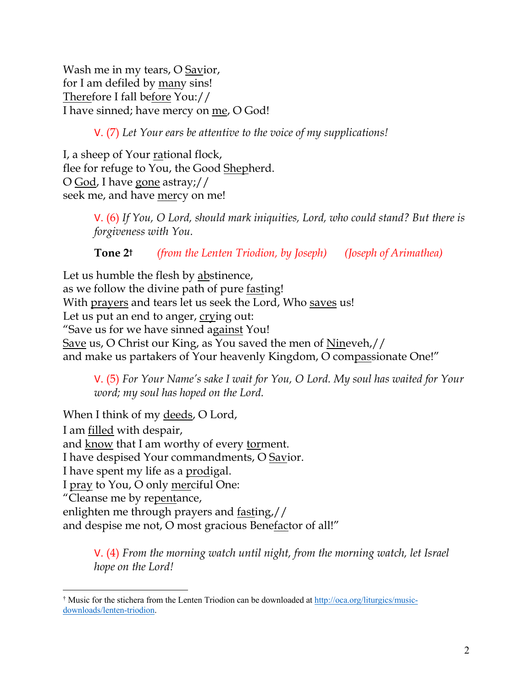Wash me in my tears, O Savior, for I am defiled by many sins! Therefore I fall before You:// I have sinned; have mercy on me, O God!

V. (7) *Let Your ears be attentive to the voice of my supplications!*

I, a sheep of Your rational flock, flee for refuge to You, the Good Shepherd. O God, I have gone astray;// seek me, and have mercy on me!

> V. (6) *If You, O Lord, should mark iniquities, Lord, who could stand? But there is forgiveness with You.*

**Tone 2†** *(from the Lenten Triodion, by Joseph) (Joseph of Arimathea)*

Let us humble the flesh by abstinence, as we follow the divine path of pure fasting! With prayers and tears let us seek the Lord, Who saves us! Let us put an end to anger, crying out: "Save us for we have sinned against You! Save us, O Christ our King, as You saved the men of Nineveh,// and make us partakers of Your heavenly Kingdom, O compassionate One!"

V. (5) *For Your Name's sake I wait for You, O Lord. My soul has waited for Your word; my soul has hoped on the Lord.* 

When I think of my deeds, O Lord, I am filled with despair, and know that I am worthy of every torment. I have despised Your commandments, O Savior. I have spent my life as a <u>prodigal</u>. I pray to You, O only merciful One: "Cleanse me by repentance, enlighten me through prayers and fasting,// and despise me not, O most gracious Benefactor of all!"

> V. (4) *From the morning watch until night, from the morning watch, let Israel hope on the Lord!*

<sup>†</sup> Music for the stichera from the Lenten Triodion can be downloaded at http://oca.org/liturgics/musicdownloads/lenten-triodion.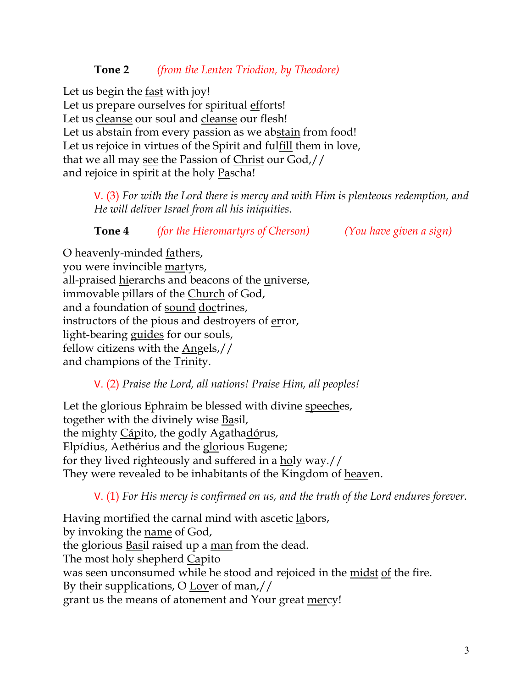### **Tone 2** *(from the Lenten Triodion, by Theodore)*

Let us begin the fast with joy! Let us prepare ourselves for spiritual efforts! Let us cleanse our soul and cleanse our flesh! Let us abstain from every passion as we abstain from food! Let us rejoice in virtues of the Spirit and fulfill them in love, that we all may see the Passion of Christ our God,// and rejoice in spirit at the holy **Pascha!** 

> V. (3) *For with the Lord there is mercy and with Him is plenteous redemption, and He will deliver Israel from all his iniquities.*

| Tone 4 | <i>(for the Hieromartyrs of Cherson)</i> | (You have given a sign) |
|--------|------------------------------------------|-------------------------|
|        |                                          |                         |

O heavenly-minded fathers, you were invincible martyrs, all-praised hierarchs and beacons of the universe, immovable pillars of the Church of God, and a foundation of sound doctrines, instructors of the pious and destroyers of error, light-bearing guides for our souls, fellow citizens with the Angels,// and champions of the Trinity.

V. (2) *Praise the Lord, all nations! Praise Him, all peoples!*

Let the glorious Ephraim be blessed with divine speeches, together with the divinely wise Basil, the mighty Cápito, the godly Agathadórus, Elpídius, Aethérius and the glorious Eugene; for they lived righteously and suffered in a holy way.// They were revealed to be inhabitants of the Kingdom of heaven.

V. (1) *For His mercy is confirmed on us, and the truth of the Lord endures forever.* 

Having mortified the carnal mind with ascetic labors, by invoking the name of God, the glorious Basil raised up a man from the dead. The most holy shepherd Capito was seen unconsumed while he stood and rejoiced in the midst of the fire. By their supplications, O Lover of man,// grant us the means of atonement and Your great mercy!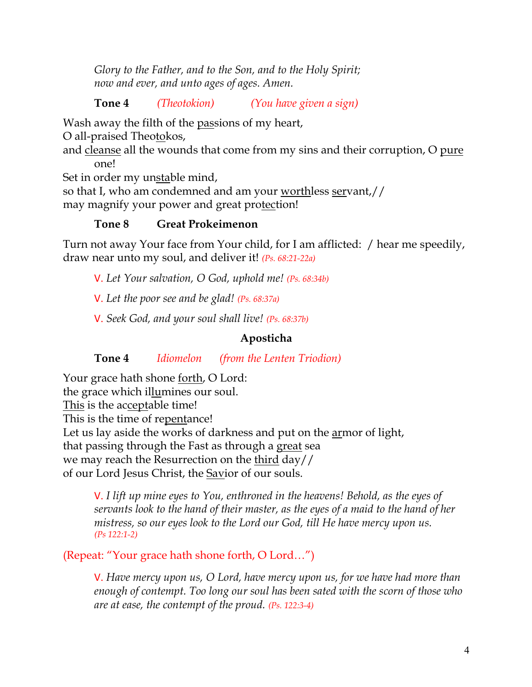*Glory to the Father, and to the Son, and to the Holy Spirit; now and ever, and unto ages of ages. Amen.* 

**Tone 4** *(Theotokion) (You have given a sign)*

Wash away the filth of the passions of my heart,

O all-praised Theotokos,

and cleanse all the wounds that come from my sins and their corruption, O pure one!

Set in order my unstable mind,

so that I, who am condemned and am your worthless servant,// may magnify your power and great protection!

## **Tone 8 Great Prokeimenon**

Turn not away Your face from Your child, for I am afflicted: / hear me speedily, draw near unto my soul, and deliver it! *(Ps. 68:21-22a)*

V. *Let Your salvation, O God, uphold me! (Ps. 68:34b)*

V. *Let the poor see and be glad! (Ps. 68:37a)*

V. *Seek God, and your soul shall live! (Ps. 68:37b)*

#### **Aposticha**

**Tone 4** *Idiomelon (from the Lenten Triodion)*

Your grace hath shone forth, O Lord: the grace which illumines our soul. This is the acceptable time! This is the time of repentance! Let us lay aside the works of darkness and put on the **armor** of light, that passing through the Fast as through a great sea we may reach the Resurrection on the third day// of our Lord Jesus Christ, the Savior of our souls.

V. *I lift up mine eyes to You, enthroned in the heavens! Behold, as the eyes of servants look to the hand of their master, as the eyes of a maid to the hand of her mistress, so our eyes look to the Lord our God, till He have mercy upon us. (Ps 122:1-2)*

(Repeat: "Your grace hath shone forth, O Lord…")

V. *Have mercy upon us, O Lord, have mercy upon us, for we have had more than enough of contempt. Too long our soul has been sated with the scorn of those who are at ease, the contempt of the proud. (Ps. 122:3-4)*